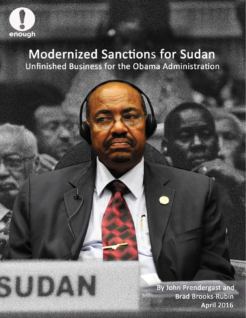

# **Modernized Sanctions for Sudan** Unfinished Business for the Obama Administration

By John Prendergast and **Brad Brooks-Rubin April 2016**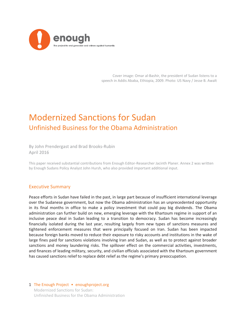

Cover image: Omar al-Bashir, the president of Sudan listens to a speech in Addis Ababa, Ethiopia, 2009. Photo: US Navy / Jesse B. Awalt

## Modernized Sanctions for Sudan Unfinished Business for the Obama Administration

By John Prendergast and Brad Brooks-Rubin April 2016

This paper received substantial contributions from Enough Editor-Researcher Jacinth Planer. Annex 2 was written by Enough Sudans Policy Analyst John Hursh, who also provided important additional input.

#### Executive Summary

Peace efforts in Sudan have failed in the past, in large part because of insufficient international leverage over the Sudanese government, but now the Obama administration has an unprecedented opportunity in its final months in office to make a policy investment that could pay big dividends. The Obama administration can further build on new, emerging leverage with the Khartoum regime in support of an inclusive peace deal in Sudan leading to a transition to democracy. Sudan has become increasingly financially isolated during the last year, resulting largely from new types of sanctions measures and tightened enforcement measures that were principally focused on Iran. Sudan has been impacted because foreign banks moved to reduce their exposure to risky accounts and institutions in the wake of large fines paid for sanctions violations involving Iran and Sudan, as well as to protect against broader sanctions and money laundering risks. The spillover effect on the commercial activities, investments, and finances of leading military, security, and civilian officials associated with the Khartoum government has caused sanctions relief to replace debt relief as the regime's primary preoccupation.

#### 1 The Enough Project • enoughproject.org Modernized Sanctions for Sudan: Unfinished Business for the Obama Administration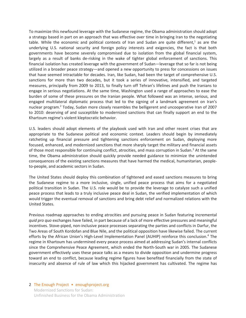To maximize this newfound leverage with the Sudanese regime, the Obama administration should adopt a strategy based in part on an approach that was effective over time in bringing Iran to the negotiating table. While the economic and political contexts of Iran and Sudan are quite different,<sup>1</sup> as are the underlying U.S. national security and foreign policy interests and exigencies, the fact is that both governments have become severely compromised due to isolation from the global financial system, largely as a result of banks de-risking in the wake of tighter global enforcement of sanctions. This financial isolation has created leverage with the government of Sudan—leverage that so far is not being utilized in a broader peace strategy—and opened a new opportunity to press for concessions on issues that have seemed intractable for decades. Iran, like Sudan, had been the target of comprehensive U.S. sanctions for more than two decades, but it took a series of innovative, intensified, and targeted measures, principally from 2009 to 2013, to finally turn off Tehran's lifelines and push the Iranians to engage in serious negotiations. At the same time, Washington used a range of approaches to ease the burden of some of these pressures on the Iranian people. What followed was an intense, serious, and engaged multilateral diplomatic process that led to the signing of a landmark agreement on Iran's nuclear program.<sup>2</sup> Today, Sudan more closely resembles the belligerent and uncooperative Iran of 2007 to 2010: deserving of and susceptible to modernized sanctions that can finally support an end to the Khartoum regime's violent kleptocratic behavior.

U.S. leaders should adopt elements of the playbook used with Iran and other recent crises that are appropriate to the Sudanese political and economic context. Leaders should begin by immediately ratcheting up financial pressure and tightening sanctions enforcement on Sudan, deploying more focused, enhanced, and modernized sanctions that more sharply target the military and financial assets of those most responsible for continuing conflict, atrocities, and mass corruption in Sudan.<sup>3</sup> At the same time, the Obama administration should quickly provide needed guidance to minimize the unintended consequences of the existing sanctions measures that have harmed the medical, humanitarian, peopleto-people, and academic sectors in Sudan.

The United States should deploy this combination of tightened and eased sanctions measures to bring the Sudanese regime to a more inclusive, single, unified peace process that aims for a negotiated political transition in Sudan. The U.S. role would be to provide the leverage to catalyze such a unified peace process that leads to a truly inclusive peace deal in Sudan, the verified implementation of which would trigger the eventual removal of sanctions and bring debt relief and normalized relations with the United States.

Previous roadmap approaches to ending atrocities and pursuing peace in Sudan featuring incremental *quid pro quo* exchanges have failed, in part because of a lack of more effective pressures and meaningful incentives. Stove-piped, non-inclusive peace processes separating the parties and conflicts in Darfur, the Two Areas of South Kordofan and Blue Nile, and the political opposition have likewise failed. The current efforts by the African Union's High-Level Implementation Panel (AUHIP) reinforce this conclusion.<sup>4</sup> The regime in Khartoum has undermined every peace process aimed at addressing Sudan's internal conflicts since the Comprehensive Peace Agreement, which ended the North-South war in 2005. The Sudanese government effectively uses these peace talks as a means to divide opposition and undermine progress toward an end to conflict, because leading regime figures have benefited financially from the state of insecurity and absence of rule of law which this hijacked government has cultivated. The regime has

#### 2 The Enough Project • enoughproject.org Modernized Sanctions for Sudan:

Unfinished Business for the Obama Administration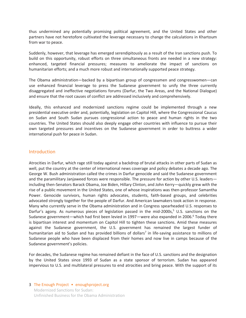thus undermined any potentially promising political agreement, and the United States and other partners have not heretofore cultivated the leverage necessary to change the calculations in Khartoum from war to peace.

Suddenly, however, that leverage has emerged serendipitously as a result of the Iran sanctions push. To build on this opportunity, robust efforts on three simultaneous fronts are needed in a new strategy: enhanced, targeted financial pressures; measures to ameliorate the impact of sanctions on humanitarian efforts; and a much more robust and internationally supported peace strategy.

The Obama administration—backed by a bipartisan group of congressmen and congresswomen—can use enhanced financial leverage to press the Sudanese government to unify the three currently disaggregated and ineffective negotiations forums (Darfur, the Two Areas, and the National Dialogue) and ensure that the root causes of conflict are addressed inclusively and comprehensively.

Ideally, this enhanced and modernized sanctions regime could be implemented through a new presidential executive order and, potentially, legislation on Capitol Hill, where the Congressional Caucus on Sudan and South Sudan pursues congressional action to peace and human rights in the two countries. The United States should also deeply engage other countries with influence to pursue their own targeted pressures and incentives on the Sudanese government in order to buttress a wider international push for peace in Sudan.

#### **Introduction**

Atrocities in Darfur, which rage still today against a backdrop of brutal attacks in other parts of Sudan as well, put the country at the center of international news coverage and policy debates a decade ago. The George W. Bush administration called the crimes in Darfur genocide and said the Sudanese government and the paramilitary Janjaweed forces were responsible. The pressure for action by other U.S. leaders including then-Senators Barack Obama, Joe Biden, Hillary Clinton, and John Kerry—quickly grew with the rise of a public movement in the United States, one of whose inspirations was then-professor Samantha Power. Genocide survivors, human rights advocates, students, faith-based groups, and celebrities advocated strongly together for the people of Darfur. And American lawmakers took action in response. Many who currently serve in the Obama administration and in Congress spearheaded U.S. responses to Darfur's agony. As numerous pieces of legislation passed in the mid-2000s,<sup>5</sup> U.S. sanctions on the Sudanese government—which had first been levied in 1997—were also expanded in 2006.<sup>6</sup> Today there is bipartisan interest and momentum on Capitol Hill to tighten these sanctions. Amid these measures against the Sudanese government, the U.S. government has remained the largest funder of humanitarian aid to Sudan and has provided billions of dollars<sup>7</sup> in life-saving assistance to millions of Sudanese people who have been displaced from their homes and now live in camps because of the Sudanese government's policies.

For decades, the Sudanese regime has remained defiant in the face of U.S. sanctions and the designation by the United States since 1993 of Sudan as a state sponsor of terrorism. Sudan has appeared impervious to U.S. and multilateral pressures to end atrocities and bring peace. With the support of its

#### 3 The Enough Project • enoughproject.org Modernized Sanctions for Sudan: Unfinished Business for the Obama Administration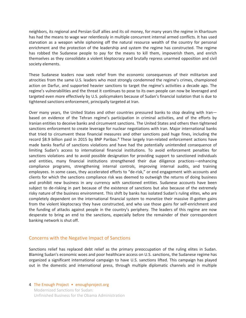neighbors, its regional and Persian Gulf allies and its oil money, for many years the regime in Khartoum has had the means to wage war relentlessly in multiple concurrent internal armed conflicts. It has used starvation as a weapon while siphoning off the natural resource wealth of the country for personal enrichment and the protection of the leadership and system the regime has constructed. The regime has robbed the Sudanese people to pay for the means to kill them, impoverish them, and enrich themselves as they consolidate a violent kleptocracy and brutally repress unarmed opposition and civil society elements.

These Sudanese leaders now seek relief from the economic consequences of their militarism and atrocities from the same U.S. leaders who most strongly condemned the regime's crimes, championed action on Darfur, and supported heavier sanctions to target the regime's activities a decade ago. The regime's vulnerabilities and the threat it continues to pose to its own people can now be leveraged and targeted even more effectively by U.S. policymakers because of Sudan's financial isolation that is due to tightened sanctions enforcement, principally targeted at Iran.

Over many years, the United States and other countries pressured banks to stop dealing with Iran based on evidence of the Tehran regime's participation in criminal activities, and of the efforts by Iranian entities to deceive banks and circumvent sanctions. The United States and others then tightened sanctions enforcement to create leverage for nuclear negotiations with Iran. Major international banks that tried to circumvent these financial measures and other sanctions paid huge fines, including the record \$8.9 billion paid in 2015 by BNP Paribas.<sup>8</sup> These largely Iran-related enforcement actions have made banks fearful of sanctions violations and have had the potentially unintended consequence of limiting Sudan's access to international financial institutions. To avoid enforcement penalties for sanctions violations and to avoid possible designation for providing support to sanctioned individuals and entities, many financial institutions strengthened their due diligence practices—enhancing compliance programs, strengthening internal controls, improving internal audits, and training employees. In some cases, they accelerated efforts to "de-risk," or end engagement with accounts and clients for which the sanctions compliance risk was deemed to outweigh the returns of doing business and prohibit new business in any currency with sanctioned entities. Sudanese accounts have been subject to de-risking in part because of the existence of sanctions but also because of the extremely risky nature of the business environment. This shift by banks has isolated Sudan's ruling elites, who are completely dependent on the international financial system to monetize their massive ill-gotten gains from the violent kleptocracy they have constructed, and who use those gains for self-enrichment and the funding of attacks against people in the country's periphery. The leaders of this regime are now desperate to bring an end to the sanctions, especially before the remainder of their correspondent banking network is shut off.

#### Concerns with the Negative Impact of Sanctions

Sanctions relief has replaced debt relief as the primary preoccupation of the ruling elites in Sudan. Blaming Sudan's economic woes and poor healthcare access on U.S. sanctions, the Sudanese regime has organized a significant international campaign to have U.S. sanctions lifted. This campaign has played out in the domestic and international press, through multiple diplomatic channels and in multiple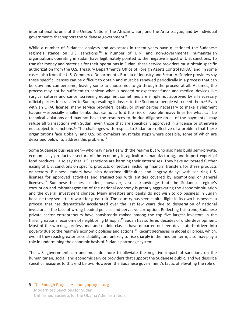international forums at the United Nations, the African Union, and the Arab League, and by individual governments that support the Sudanese government.9

While a number of Sudanese analysts and advocates in recent years have questioned the Sudanese regime's stance on U.S. sanctions, $10$  a number of U.N. and non-governmental humanitarian organizations operating in Sudan have legitimately pointed to the negative impact of U.S. sanctions. To transfer money and materials for their operations in Sudan, these service providers must obtain specific authorization from the U.S. Treasury Department's Office of Foreign Assets Control (OFAC) and, in some cases, also from the U.S. Commerce Department's Bureau of Industry and Security. Service providers say these specific licenses can be difficult to obtain and must be renewed periodically in a process that can be slow and cumbersome, leaving some to choose not to go through the process at all. At times, the process may not be sufficient to achieve what is needed or expected: funds and medical devices like surgical sutures and cancer screening equipment sometimes are simply not approved by all necessary official parties for transfer to Sudan, resulting in losses to the Sudanese people who need them.<sup>11</sup> Even with an OFAC license, many service providers, banks, or other parties necessary to make a shipment happen—especially smaller banks that cannot afford the risk of possible heavy fines for what can be technical violations and may not have the resources to do due diligence on all of the payments—may refuse all transactions with Sudan, even those that are specifically approved in a license or otherwise not subject to sanctions.12 The challenges with respect to Sudan are reflective of a problem that these organizations face globally, and U.S. policymakers must take steps where possible, some of which are described below, to address this problem.<sup>13</sup>

Some Sudanese businessmen—who may have ties with the regime but who also help build semi-private, economically productive sectors of the economy in agriculture, manufacturing, and import-export of food products—also say that U.S. sanctions are harming their enterprises. They have advocated further easing of U.S. sanctions on specific products or sectors, including financial transfers for these products or sectors. Business leaders have also described difficulties and lengthy delays with securing U.S. licenses for approved activities and transactions with entities covered by exemptions or general licenses.<sup>14</sup> Sudanese business leaders, however, also acknowledge that the Sudanese regime's corruption and mismanagement of the national economy is greatly aggravating the economic situation and the overall investment climate. Many investors and banks do not wish to do business in Sudan because they see little reward for great risk. The country has seen capital flight in its own businesses, a process that has dramatically accelerated over the last few years due to desperation of national investors in the face of wrong-headed policies and pervasive corruption. Reflecting this trend, Sudanese private sector entrepreneurs have consistently ranked among the top five largest investors in the thriving national economy of neighboring Ethiopia.15 Sudan has suffered decades of underdevelopment. Most of the working, professional and middle classes have departed or been devastated—driven into poverty due to the regime's economic policies and actions.<sup>16</sup> Recent decreases in global oil prices, which, even if they reach greater price stability, are unlikely to rise sharply in the medium term, also may play a role in undermining the economic basis of Sudan's patronage system.

The U.S. government can and must do more to alleviate the negative impact of sanctions on the humanitarian, social, and economic service providers that support the Sudanese public, and we describe specific measures to this end below. However, the Sudanese government's tactic of elevating the role of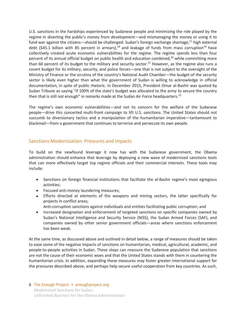U.S. sanctions in the hardships experienced by Sudanese people and minimizing the role played by the regime in diverting the public's money from development—and mismanaging the money or using it to fund war against the citizens—should be challenged. Sudan's foreign exchange shortage,<sup>17</sup> high external debt (\$45.1 billion with 85 percent in arrears),<sup>18</sup> and leakage of funds from mass corruption<sup>19</sup> have collectively created acute economic vulnerabilities for the regime. The regime spends less than four percent of its annual official budget on public health and education combined,<sup>20</sup> while committing more than 60 percent of its budget to the military and security sector.<sup>21</sup> However, as the regime also runs a covert budget for its military, security, and police forces—one that is not subject to the oversight of the Ministry of Finance or the scrutiny of the country's National Audit Chamber—the budget of the security sector is likely even higher than what the government of Sudan is willing to acknowledge in official documentation, in spite of public rhetoric. In December 2015, President Omar al-Bashir was quoted by Sudan Tribune as saying "if 100% of the state's budget was allocated to the army to secure the country then that is still not enough" in remarks made at the Sudan Air Force headquarters.<sup>22</sup>

The regime's own economic vulnerabilities—and not its concern for the welfare of the Sudanese people—drive this concerted multi-front campaign to lift U.S. sanctions. The United States should not succumb to diversionary tactics and a manipulation of the humanitarian imperative—tantamount to blackmail—from a government that continues to terrorize and persecute its own people.

#### Sanctions Modernization: Pressures and Impacts

To build on the newfound leverage it now has with the Sudanese government, the Obama administration should enhance that leverage by deploying a new wave of modernized sanctions tools that can more effectively target top regime officials and their commercial interests. These tools may include:

- Sanctions on foreign financial institutions that facilitate the al-Bashir regime's most egregious activities;
- Focused anti-money laundering measures;
- Efforts directed at elements of the weapons and mining sectors, the latter specifically for projects in conflict areas;
	- Anti-corruption sanctions against individuals and entities facilitating public corruption; and
- Increased designation and enforcement of targeted sanctions on specific companies owned by Sudan's National Intelligence and Security Service (NISS), the Sudan Armed Forces (SAF), and companies owned by other senior government officials—areas where sanctions enforcement has been weak.

At the same time, as discussed above and outlined in detail below, a range of measures should be taken to ease some of the negative impacts of sanctions on humanitarian, medical, agricultural, academic, and people-to-people activities in Sudan. These steps can reassure the Sudanese population that sanctions are not the cause of their economic woes and that the United States stands with them in countering the humanitarian crisis. In addition, expanding these measures may foster greater international support for the pressures described above, and perhaps help secure useful cooperation from key countries. As such,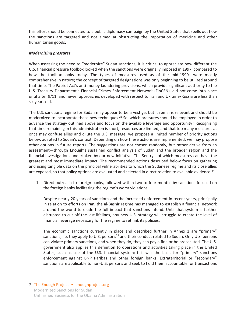this effort should be connected to a public diplomacy campaign by the United States that spells out how the sanctions are targeted and not aimed at obstructing the importation of medicine and other humanitarian goods.

#### *Modernizing pressures*

When assessing the need to "modernize" Sudan sanctions, it is critical to appreciate how different the U.S. financial pressure toolbox looked when the sanctions were originally imposed in 1997, compared to how the toolbox looks today. The types of measures used as of the mid-1990s were mostly comprehensive in nature; the concept of targeted designations was only beginning to be utilized around that time. The Patriot Act's anti-money laundering provisions, which provide significant authority to the U.S. Treasury Department's Financial Crimes Enforcement Network (FinCEN), did not come into place until after 9/11, and newer approaches developed with respect to Iran and Ukraine/Russia are less than six years old.

The U.S. sanctions regime for Sudan may appear to be a vestige, but it remains relevant and should be modernized to incorporate these new techniques.<sup>23</sup> So, which pressures should be employed in order to advance the strategy outlined above and focus on the available leverage and opportunity? Recognizing that time remaining in this administration is short, resources are limited, and that too many measures at once may confuse allies and dilute the U.S. message, we propose a limited number of priority actions below, adapted to Sudan's context. Depending on how these actions are implemented, we may propose other options in future reports. The suggestions are not chosen randomly, but rather derive from an assessment—through Enough's sustained conflict analysis of Sudan and the broader region and the financial investigations undertaken by our new initiative, The Sentry—of which measures can have the greatest and most immediate impact. The recommended actions described below focus on gathering and using tangible data on the principal vulnerabilities to which the Sudanese regime and its close allies are exposed, so that policy options are evaluated and selected in direct relation to available evidence.<sup>24</sup>

1. Direct outreach to foreign banks, followed within two to four months by sanctions focused on the foreign banks facilitating the regime's worst violations.

Despite nearly 20 years of sanctions and the increased enforcement in recent years, principally in relation to efforts on Iran, the al-Bashir regime has managed to establish a financial network around the world to elude the full impact that sanctions intend. Until that system is further disrupted to cut off the last lifelines, any new U.S. strategy will struggle to create the level of financial leverage necessary for the regime to rethink its policies.

The economic sanctions currently in place and described further in Annex 1 are "primary" sanctions, i.e. they apply to U.S. persons<sup>25</sup> and their conduct related to Sudan. Only U.S. persons can violate primary sanctions, and when they do, they can pay a fine or be prosecuted. The U.S. government also applies this definition to operations and activities taking place in the United States, such as use of the U.S. financial system; this was the basis for "primary" sanctions enforcement against BNP Paribas and other foreign banks. Extraterritorial or "secondary" sanctions are applicable to non-U.S. persons and seek to hold them accountable for transactions

7 The Enough Project • enoughproject.org Modernized Sanctions for Sudan: Unfinished Business for the Obama Administration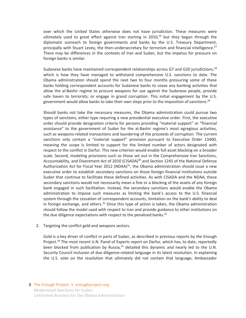over which the United States otherwise does not have jurisdiction. These measures were ultimately used to great effect against Iran starting in  $2010,26$  but they began through the diplomatic outreach to foreign governments and banks by the U.S. Treasury Department, principally with Stuart Levey, the then-undersecretary for terrorism and financial intelligence.<sup>27</sup> There may be differences in the contexts of Iran and Sudan, but the impetus for pressure on foreign banks is similar.

Sudanese banks have maintained correspondent relationships across G7 and G20 jurisdictions, $^{28}$ which is how they have managed to withstand comprehensive U.S. sanctions to date. The Obama administration should spend the next two to four months pressuring some of these banks holding correspondent accounts for Sudanese banks to cease any banking activities that allow the al-Bashir regime to procure weapons for use against the Sudanese people, provide safe haven to terrorists, or engage in grand corruption. This initial engagement by the U.S. government would allow banks to take their own steps prior to the imposition of sanctions.<sup>29</sup>

Should banks not take the necessary measures, the Obama administration could pursue two types of sanctions, either type requiring a new presidential executive order. First, the executive order should provide designation criteria for persons providing "material support" or "financial assistance" to the government of Sudan for the al-Bashir regime's most egregious activities, such as weapons-related transactions and laundering of the proceeds of corruption. The current sanctions only contain a "material support" provision pursuant to Executive Order 13400, meaning the scope is limited to support for the limited number of actors designated with respect to the conflict in Darfur. This new criterion would enable full asset blocking on a broader scale. Second, modeling provisions such as those set out in the Comprehensive Iran Sanctions, Accountability, and Divestment Act of 2010 (CISADA)<sup>30</sup> and Section 1245 of the National Defense Authorization Act for Fiscal Year 2012 (NDAA) $31$ , the Obama administration should issue a new executive order to establish secondary sanctions on those foreign financial institutions outside Sudan that continue to facilitate these defined activities. As with CISADA and the NDAA, these secondary sanctions would not necessarily mean a fine or a blocking of the assets of any foreign bank engaged in such facilitation. Instead, the secondary sanctions would enable the Obama administration to impose such measures as limiting the bank's access to the U.S. financial system through the cessation of correspondent accounts, limitation on the bank's ability to deal in foreign exchange, and others.<sup>32</sup> Once this type of action is taken, the Obama administration should follow the model used with respect to Iran and provide guidance to other institutions on the due diligence expectations with respect to the penalized banks. $33$ 

2. Targeting the conflict gold and weapons sectors.

Gold is a key driver of conflict in parts of Sudan, as described in previous reports by the Enough Project.<sup>34</sup> The most recent U.N. Panel of Experts report on Darfur, which has, to date, reportedly been blocked from publication by Russia, $35$  detailed this dynamic and nearly led to the U.N. Security Council inclusion of due diligence-related language in its latest resolution. In explaining the U.S. vote on the resolution that ultimately did not contain that language, Ambassador

#### 8 The Enough Project • enoughproject.org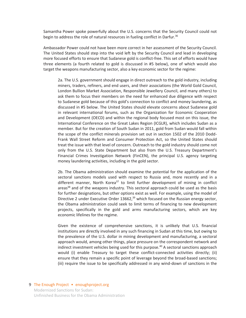Samantha Power spoke powerfully about the U.S. concerns that the Security Council could not begin to address the role of natural resources in fueling conflict in Darfur.<sup>36</sup>

Ambassador Power could not have been more correct in her assessment of the Security Council. The United States should step into the void left by the Security Council and lead in developing more focused efforts to ensure that Sudanese gold is conflict-free. This set of efforts would have three elements (a fourth related to gold is discussed in #5 below), one of which would also target the weapons manufacturing sector, also a key economic sector for the regime:

2a. The U.S. government should engage in direct outreach to the gold industry, including miners, traders, refiners, and end users, and their associations (the World Gold Council, London Bullion Market Association, Responsible Jewellery Council, and many others) to ask them to focus their members on the need for enhanced due diligence with respect to Sudanese gold because of this gold's connection to conflict and money laundering, as discussed in #5 below. The United States should elevate concerns about Sudanese gold in relevant international forums, such as the Organization for Economic Cooperation and Development (OECD) and within the regional body focused most on this issue, the International Conference on the Great Lakes Region (ICGLR), which includes Sudan as a member. But for the creation of South Sudan in 2011, gold from Sudan would fall within the scope of the conflict minerals provision set out in section 1502 of the 2010 Dodd-Frank Wall Street Reform and Consumer Protection Act, so the United States should treat the issue with that level of concern. Outreach to the gold industry should come not only from the U.S. State Department but also from the U.S. Treasury Department's Financial Crimes Investigation Network (FinCEN), the principal U.S. agency targeting money laundering activities, including in the gold sector.

2b. The Obama administration should examine the potential for the application of the sectoral sanctions models used with respect to Russia and, more recently and in a different manner, North Korea $37$  to limit further development of mining in conflict areas<sup>38</sup> and of the weapons industry. This sectoral approach could be used as the basis for further designations, but other options exist as well. For example, using the model of Directive 2 under Executive Order  $13662$ ,<sup>39</sup> which focused on the Russian energy sector, the Obama administration could seek to limit terms of financing to new development projects, specifically in the gold and arms manufacturing sectors, which are key economic lifelines for the regime.

Given the existence of comprehensive sanctions, it is unlikely that U.S. financial institutions are directly involved in any such financing in Sudan at this time, but owing to the prevalence of the U.S. dollar in mining development and manufacturing, a sectoral approach would, among other things, place pressure on the correspondent network and indirect investment vehicles being used for this purpose.<sup>40</sup> A sectoral sanctions approach would (i) enable Treasury to target these conflict-connected activities directly; (ii) ensure that they remain a specific point of leverage beyond the broad-based sanctions; (iii) require the issue to be specifically addressed in any wind-down of sanctions in the

#### 9 The Enough Project • enoughproject.org Modernized Sanctions for Sudan:

Unfinished Business for the Obama Administration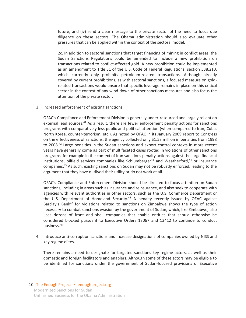future; and (iv) send a clear message to the private sector of the need to focus due diligence on these sectors. The Obama administration should also evaluate other pressures that can be applied within the context of the sectoral model.

2c. In addition to sectoral sanctions that target financing of mining in conflict areas, the Sudan Sanctions Regulations could be amended to include a new prohibition on transactions related to conflict-affected gold. A new prohibition could be implemented as an amendment to Title 31 of the U.S. Code of Federal Regulations, section 538.210, which currently only prohibits petroleum-related transactions. Although already covered by current prohibitions, as with sectoral sanctions, a focused measure on goldrelated transactions would ensure that specific leverage remains in place on this critical sector in the context of any wind-down of other sanctions measures and also focus the attention of the private sector.

3. Increased enforcement of existing sanctions.

OFAC's Compliance and Enforcement Division is generally under-resourced and largely reliant on external lead sources.<sup>41</sup> As a result, there are fewer enforcement penalty actions for sanctions programs with comparatively less public and political attention (when compared to Iran, Cuba, North Korea, counter-terrorism, etc.). As noted by OFAC in its January 2009 report to Congress on the effectiveness of sanctions, the agency collected only \$1.53 million in penalties from 1998 to 2008.<sup>42</sup> Large penalties in the Sudan sanctions and export control contexts in more recent years have generally come as part of multifaceted cases rooted in violations of other sanctions programs, for example in the context of Iran sanctions penalty actions against the large financial institutions, oilfield services companies like Schlumberger<sup>43</sup> and Weatherford,<sup>44</sup> or insurance companies.45 As such, existing sanctions on Sudan may not be robustly enforced, leading to the argument that they have outlived their utility or do not work at all.

OFAC's Compliance and Enforcement Division should be directed to focus attention on Sudan sanctions, including in areas such as insurance and reinsurance, and also seek to cooperate with agencies with relevant authorities in other sectors, such as the U.S. Commerce Department or the U.S. Department of Homeland Security.<sup>46</sup> A penalty recently issued by OFAC against Barclay's Bank<sup>47</sup> for violations related to sanctions on Zimbabwe shows the type of action necessary to combat sanctions evasion by the government of Sudan, which, like Zimbabwe, also uses dozens of front and shell companies that enable entities that should otherwise be considered blocked pursuant to Executive Orders 13067 and 13412 to continue to conduct business.48

4. Introduce anti-corruption sanctions and increase designations of companies owned by NISS and key regime elites.

There remains a need to designate for targeted sanctions key regime actors, as well as their domestic and foreign facilitators and enablers. Although some of these actors may be eligible to be identified for sanctions under the government of Sudan-focused provisions of Executive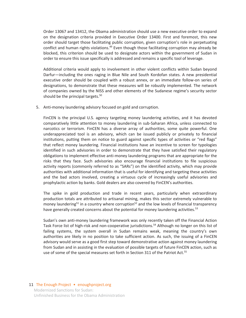Order 13067 and 13412, the Obama administration should use a new executive order to expand on the designation criteria provided in Executive Order 13400. First and foremost, this new order should target those facilitating public corruption, given corruption's role in perpetuating conflict and human rights violations.<sup>49</sup> Even though those facilitating corruption may already be blocked, this criterion should be used to designate actors within the government of Sudan in order to ensure this issue specifically is addressed and remains a specific tool of leverage.

Additional criteria would apply to involvement in other violent conflicts within Sudan beyond Darfur—including the ones raging in Blue Nile and South Kordofan states. A new presidential executive order should be coupled with a robust annex, or an immediate follow-on series of designations, to demonstrate that these measures will be robustly implemented. The network of companies owned by the NISS and other elements of the Sudanese regime's security sector should be the principal targets. $50<sub>o</sub>$ 

5. Anti-money laundering advisory focused on gold and corruption.

FinCEN is the principal U.S. agency targeting money laundering activities, and it has devoted comparatively little attention to money laundering in sub-Saharan Africa, unless connected to narcotics or terrorism. FinCEN has a diverse array of authorities, some quite powerful. One underappreciated tool is an advisory, which can be issued publicly or privately to financial institutions, putting them on notice to guard against specific types of activities or "red flags" that reflect money laundering. Financial institutions have an incentive to screen for typologies identified in such advisories in order to demonstrate that they have satisfied their regulatory obligations to implement effective anti-money laundering programs that are appropriate for the risks that they face. Such advisories also encourage financial institutions to file suspicious activity reports (commonly referred to as "SARs") on the identified activity, which may provide authorities with additional information that is useful for identifying and targeting these activities and the bad actors involved, creating a virtuous cycle of increasingly useful advisories and prophylactic action by banks. Gold dealers are also covered by FinCEN's authorities.

The spike in gold production and trade in recent years, particularly when extraordinary production totals are attributed to artisanal mining, makes this sector extremely vulnerable to money laundering<sup>51</sup> in a country where corruption<sup>52</sup> and the low levels of financial transparency have generally created concerns about the potential for money laundering activities.<sup>53</sup>

Sudan's own anti-money laundering framework was only recently taken off the Financial Action Task Force list of high-risk and non-cooperative jurisdictions.<sup>54</sup> Although no longer on this list of failing systems, the system overall in Sudan remains weak, meaning the country's own authorities are likely in no position to take sufficient action. As such, the issuing of a FinCEN advisory would serve as a good first step toward demonstrative action against money laundering from Sudan and in assisting in the evaluation of possible targets of future FinCEN action, such as use of some of the special measures set forth in Section 311 of the Patriot Act.<sup>55</sup>

#### 11 The Enough Project • enoughproject.org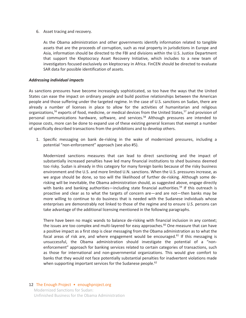6. Asset tracing and recovery.

As the Obama administration and other governments identify information related to tangible assets that are the proceeds of corruption, such as real property in jurisdictions in Europe and Asia, information should be directed to the FBI and divisions within the U.S. Justice Department that support the Kleptocracy Asset Recovery Initiative, which includes to a new team of investigators focused exclusively on kleptocracy in Africa. FinCEN should be directed to evaluate SAR data for possible identification of assets.

#### *Addressing individual impacts*

As sanctions pressures have become increasingly sophisticated, so too have the ways that the United States can ease the impact on ordinary people and build positive relationships between the American people and those suffering under the targeted regime. In the case of U.S. sanctions on Sudan, there are already a number of licenses in place to allow for the activities of humanitarian and religious organizations,<sup>56</sup> exports of food, medicine, or medical devices from the United States,<sup>57</sup> and provision of personal communications hardware, software, and services.58 Although pressures are intended to impose costs, more can be done to expand use of these existing general licenses that exempt a number of specifically described transactions from the prohibitions and to develop others.

1. Specific messaging on bank de-risking in the wake of modernized pressures, including a potential "non-enforcement" approach (see also #5).

Modernized sanctions measures that can lead to direct sanctioning and the impact of substantially increased penalties have led many financial institutions to shed business deemed too risky. Sudan is already in this category for many foreign banks because of the risky business environment and the U.S. and more limited U.N. sanctions. When the U.S. pressures increase, as we argue should be done, so too will the likelihood of further de-risking. Although some derisking will be inevitable, the Obama administration should, as suggested above, engage directly with banks and banking authorities—including state financial authorities.<sup>59</sup> If this outreach is proactive and clear as to what the targets of concern are—and are not—then banks may be more willing to continue to do business that is needed with the Sudanese individuals whose enterprises are demonstrably not linked to those of the regime and to ensure U.S. persons can take advantage of the additional licensing mentioned in the following paragraphs.

There have been no magic wands to balance de-risking with financial inclusion in any context; the issues are too complex and multi-layered for easy approaches.<sup>60</sup> One measure that can have a positive impact as a first step is clear messaging from the Obama administration as to what the focal areas of risk are, and where engagement would be encouraged. $61$  If this messaging is unsuccessful, the Obama administration should investigate the potential of a "nonenforcement" approach for banking services related to certain categories of transactions, such as those for international and non-governmental organizations. This would give comfort to banks that they would not face potentially substantial penalties for inadvertent violations made when supporting important services for the Sudanese people.<sup>62</sup>

#### 12 The Enough Project • enoughproject.org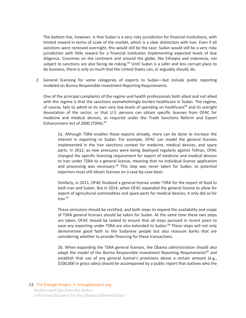The bottom line, however, is that Sudan is a very risky jurisdiction for financial institutions, with limited reward in terms of scale of the market, which is a clear distinction with Iran. Even if all sanctions were removed overnight, this would still be the case: Sudan would still be a very risky jurisdiction with little reward for a financial institution implementing expected levels of due diligence. Countries on the continent and around the globe, like Ethiopia and Indonesia, not subject to sanctions are also facing de-risking.<sup>63</sup> Until Sudan is a safer and less corrupt place to do business, there is only so much that the United States can, or arguably should, do.

2. General licensing for some categories of exports to Sudan—but include public reporting modeled on Burma Responsible Investment Reporting Requirements.

One of the principal complaints of the regime and health professionals both allied and not allied with the regime is that the sanctions overwhelmingly burden healthcare in Sudan. The regime, of course, fails to admit to its own very low levels of spending on healthcare<sup>64</sup> and its outright devastation of the sector, or that U.S. persons can obtain specific licenses from OFAC for medicine and medical devices, as required under the Trade Sanctions Reform and Export Enhancement Act of 2000 (TSRA).<sup>65</sup>

2a. Although TSRA enables these exports already, more can be done to increase the interest in exporting to Sudan. For example, OFAC can model the general licenses implemented in the Iran sanctions context for medicine, medical devices, and spare parts. In 2012, as new pressures were being deployed regularly against Tehran, OFAC changed the specific licensing requirement for export of medicine and medical devices to Iran under TSRA to a general license, meaning that no individual license application and processing was necessary.<sup>66</sup> This step was never taken for Sudan, so potential exporters must still obtain licenses on a case-by-case basis.

Similarly, in 2011, OFAC finalized a general license under TSRA for the export of food to both Iran and Sudan. But in 2014, when OFAC expanded the general license to allow for export of agricultural commodities and spare parts for medical devices, it only did so for  $Iran.<sup>67</sup>$ 

These omissions should be rectified, and both steps to expand the availability and scope of TSRA general licenses should be taken for Sudan. At the same time these two steps are taken, OFAC should be tasked to ensure that all steps pursued in recent years to ease any exporting under TSRA are also extended to Sudan.<sup>68</sup> These steps will not only demonstrate good faith to the Sudanese people but also reassure banks that are considering whether to provide financing for these transactions.

2b. When expanding the TSRA general licenses, the Obama administration should also adapt the model of the Burma Responsible Investment Reporting Requirements<sup>69</sup> and establish that use of any general license's provisions above a certain amount (e.g., \$100,000 in gross sales) should be accompanied by a public report that outlines who the

### 13 The Enough Project • enoughproject.org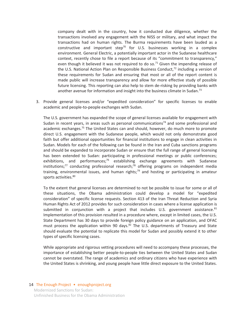company dealt with in the country, how it conducted due diligence, whether the transactions involved any engagement with the NISS or military, and what impact the transactions had on human rights. The Burma requirements have been lauded as a constructive and important step<sup>70</sup> for U.S. businesses working in a complex environment. General Electric, a potentially important actor in the Sudanese healthcare context, recently chose to file a report because of its "commitment to transparency," even though it believed it was not required to do so.<sup>71</sup> Given the impending release of the U.S. National Action Plan on Responsible Business Conduct, $72$  including a version of these requirements for Sudan and ensuring that most or all of the report content is made public will increase transparency and allow for more effective study of possible future licensing. This reporting can also help to stem de-risking by providing banks with another avenue for information and insight into the business climate in Sudan.<sup>73</sup>

3. Provide general licenses and/or "expedited consideration" for specific licenses to enable academic and people-to-people exchanges with Sudan.

The U.S. government has expanded the scope of general licenses available for engagement with Sudan in recent years, in areas such as personal communications<sup>74</sup> and some professional and academic exchanges.<sup>75</sup> The United States can and should, however, do much more to promote direct U.S. engagement with the Sudanese people, which would not only demonstrate good faith but offer additional opportunities for financial institutions to engage in clean activities in Sudan. Models for each of the following can be found in the Iran and Cuba sanctions programs and should be expanded to incorporate Sudan or ensure that the full range of general licensing has been extended to Sudan: participating in professional meetings or public conferences; exhibitions, and performances;<sup>76</sup> establishing exchange agreements with Sudanese  $instituting \, 77$  conducting professional research;<sup>78</sup> offering programs on independent media training, environmental issues, and human rights;<sup>79</sup> and hosting or participating in amateur sports activities.<sup>80</sup>

To the extent that general licenses are determined to not be possible to issue for some or all of these situations, the Obama administration could develop a model for "expedited consideration" of specific license requests. Section 413 of the Iran Threat Reduction and Syria Human Rights Act of 2012 provides for such consideration in cases where a license application is submitted in conjunction with a project that includes U.S. government assistance. $81$ Implementation of this provision resulted in a procedure where, except in limited cases, the U.S. State Department has 30 days to provide foreign policy guidance on an application, and OFAC must process the application within 90 days. $^{82}$  The U.S. departments of Treasury and State should evaluate the potential to replicate this model for Sudan and possibly extend it to other types of specific licensing cases.

While appropriate and rigorous vetting procedures will need to accompany these processes, the importance of establishing better people-to-people ties between the United States and Sudan cannot be overstated. The range of academics and ordinary citizens who have experience with the United States is shrinking, and young people have little direct exposure to the United States.

#### 14 The Enough Project • enoughproject.org Modernized Sanctions for Sudan:

Unfinished Business for the Obama Administration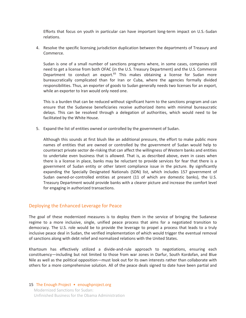Efforts that focus on youth in particular can have important long-term impact on U.S.-Sudan relations.

4. Resolve the specific licensing jurisdiction duplication between the departments of Treasury and Commerce.

Sudan is one of a small number of sanctions programs where, in some cases, companies still need to get a license from both OFAC (in the U.S. Treasury Department) and the U.S. Commerce Department to conduct an export. $83$  This makes obtaining a license for Sudan more bureaucratically complicated than for Iran or Cuba, where the agencies formally divided responsibilities. Thus, an exporter of goods to Sudan generally needs two licenses for an export, while an exporter to Iran would only need one.

This is a burden that can be reduced without significant harm to the sanctions program and can ensure that the Sudanese beneficiaries receive authorized items with minimal bureaucratic delays. This can be resolved through a delegation of authorities, which would need to be facilitated by the White House.

5. Expand the list of entities owned or controlled by the government of Sudan.

Although this sounds at first blush like an additional pressure, the effort to make public more names of entities that are owned or controlled by the government of Sudan would help to counteract private sector de-risking that can affect the willingness of Western banks and entities to undertake even business that is allowed. That is, as described above, even in cases when there is a license in place, banks may be reluctant to provide services for fear that there is a government of Sudan entity or other latent compliance issue in the picture. By significantly expanding the Specially Designated Nationals (SDN) list, which includes 157 government of Sudan owned-or-controlled entities at present (11 of which are domestic banks), the U.S. Treasury Department would provide banks with a clearer picture and increase the comfort level for engaging in authorized transactions.

#### Deploying the Enhanced Leverage for Peace

The goal of these modernized measures is to deploy them in the service of bringing the Sudanese regime to a more inclusive, single, unified peace process that aims for a negotiated transition to democracy. The U.S. role would be to provide the leverage to propel a process that leads to a truly inclusive peace deal in Sudan, the verified implementation of which would trigger the eventual removal of sanctions along with debt relief and normalized relations with the United States.

Khartoum has effectively utilized a divide-and-rule approach to negotiations, ensuring each constituency—including but not limited to those from war zones in Darfur, South Kordofan, and Blue Nile as well as the political opposition—must look out for its own interests rather than collaborate with others for a more comprehensive solution. All of the peace deals signed to date have been partial and

#### 15 The Enough Project • enoughproject.org Modernized Sanctions for Sudan: Unfinished Business for the Obama Administration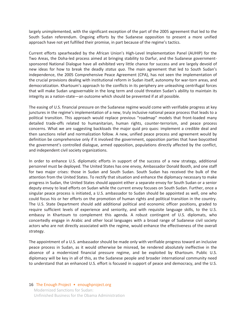largely unimplemented, with the significant exception of the part of the 2005 agreement that led to the South Sudan referendum. Ongoing efforts by the Sudanese opposition to present a more unified approach have not yet fulfilled their promise, in part because of the regime's tactics.

Current efforts spearheaded by the African Union's High-Level Implementation Panel (AUHIP) for the Two Areas, the Doha-led process aimed at bringing stability to Darfur, and the Sudanese governmentsponsored National Dialogue have all exhibited very little chance for success and are largely devoid of new ideas for how to break the deadly *status quo*. The main agreement that led to South Sudan's independence, the 2005 Comprehensive Peace Agreement (CPA), has not seen the implementation of the crucial provisions dealing with institutional reform in Sudan itself, autonomy for war-torn areas, and democratization. Khartoum's approach to the conflicts in its periphery are unleashing centrifugal forces that will make Sudan ungovernable in the long term and could threaten Sudan's ability to maintain its integrity as a nation-state—an outcome which should be prevented if at all possible.

The easing of U.S. financial pressure on the Sudanese regime would come with verifiable progress at key junctures in the regime's implementation of a new, truly inclusive national peace process that leads to a political transition. This approach would replace previous "roadmap" models that front-loaded many detailed trade-offs related to humanitarian, human rights, counter-terrorism, and peace process concerns. What we are suggesting backloads the major quid pro quos: implement a credible deal and then sanctions relief and normalization follow. A new, unified peace process and agreement would by definition be comprehensive only if it involved the government, opposition parties that have boycotted the government's controlled dialogue, armed opposition, populations directly affected by the conflict, and independent civil society organizations.

In order to enhance U.S. diplomatic efforts in support of the success of a new strategy, additional personnel must be deployed. The United States has one envoy, Ambassador Donald Booth, and one staff for two major crises: those in Sudan and South Sudan. South Sudan has received the bulk of the attention from the United States. To rectify that situation and enhance the diplomacy necessary to make progress in Sudan, the United States should appoint either a separate envoy for South Sudan or a senior deputy envoy to lead efforts on Sudan while the current envoy focuses on South Sudan. Further, once a singular peace process is initiated, a U.S. ambassador to Sudan should be appointed as well, one who could focus his or her efforts on the promotion of human rights and political transition in the country. The U.S. State Department should add additional political and economic officer positions, graded to require sufficient levels of experience and seniority, and with requisite language skills, to the U.S. embassy in Khartoum to complement this agenda. A robust contingent of U.S. diplomats, who concertedly engage in Arabic and other local languages with a broad range of Sudanese civil society actors who are not directly associated with the regime, would enhance the effectiveness of the overall strategy.

The appointment of a U.S. ambassador should be made only with verifiable progress toward an inclusive peace process in Sudan, as it would otherwise be misread, be rendered absolutely ineffective in the absence of a modernized financial pressure regime, and be exploited by Khartoum. Public U.S. diplomacy will be key in all of this, as the Sudanese people and broader international community need to understand that an enhanced U.S. effort is focused in support of peace and democracy, and the U.S.

#### 16 The Enough Project • enoughproject.org Modernized Sanctions for Sudan:

Unfinished Business for the Obama Administration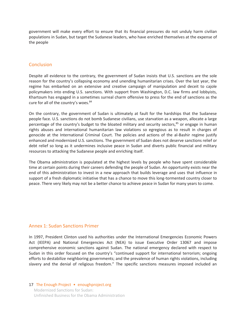government will make every effort to ensure that its financial pressures do not unduly harm civilian populations in Sudan, but target the Sudanese leaders, who have enriched themselves at the expense of the people

#### **Conclusion**

Despite all evidence to the contrary, the government of Sudan insists that U.S. sanctions are the sole reason for the country's collapsing economy and unending humanitarian crises. Over the last year, the regime has embarked on an extensive and creative campaign of manipulation and deceit to cajole policymakers into ending U.S. sanctions. With support from Washington, D.C. law firms and lobbyists, Khartoum has engaged in a sometimes surreal charm offensive to press for the end of sanctions as the cure for all of the country's woes.<sup>84</sup>

On the contrary, the government of Sudan is ultimately at fault for the hardships that the Sudanese people face. U.S. sanctions do not bomb Sudanese civilians, use starvation as a weapon, allocate a large percentage of the country's budget to the bloated military and security sectors,<sup>85</sup> or engage in human rights abuses and international humanitarian law violations so egregious as to result in charges of genocide at the International Criminal Court. The policies and actions of the al-Bashir regime justify enhanced and modernized U.S. sanctions. The government of Sudan does not deserve sanctions relief or debt relief so long as it undermines inclusive peace in Sudan and diverts public financial and military resources to attacking the Sudanese people and enriching itself.

The Obama administration is populated at the highest levels by people who have spent considerable time at certain points during their careers defending the people of Sudan. An opportunity exists near the end of this administration to invest in a new approach that builds leverage and uses that influence in support of a fresh diplomatic initiative that has a chance to move this long-tormented country closer to peace. There very likely may not be a better chance to achieve peace in Sudan for many years to come.

#### Annex 1: Sudan Sanctions Primer

In 1997, President Clinton used his authorities under the International Emergencies Economic Powers Act (IEEPA) and National Emergencies Act (NEA) to issue Executive Order 13067 and impose comprehensive economic sanctions against Sudan. The national emergency declared with respect to Sudan in this order focused on the country's "continued support for international terrorism; ongoing efforts to destabilize neighboring governments; and the prevalence of human rights violations, including slavery and the denial of religious freedom." The specific sanctions measures imposed included an

#### 17 The Enough Project • enoughproject.org Modernized Sanctions for Sudan: Unfinished Business for the Obama Administration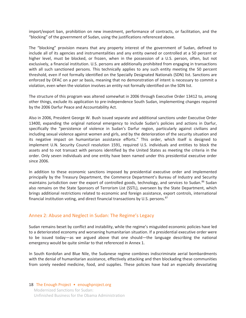import/export ban, prohibition on new investment, performance of contracts, or facilitation, and the "blocking" of the government of Sudan, using the justifications referenced above.

The "blocking" provision means that any property interest of the government of Sudan, defined to include all of its agencies and instrumentalities and any entity owned or controlled at a 50 percent or higher level, must be blocked, or frozen, when in the possession of a U.S. person, often, but not exclusively, a financial institution. U.S. persons are additionally prohibited from engaging in transactions with all such sanctioned persons. This technically applies to any such entity meeting the 50 percent threshold, even if not formally identified on the Specially Designated Nationals (SDN) list. Sanctions are enforced by OFAC on a *per se* basis, meaning that no demonstration of intent is necessary to commit a violation, even when the violation involves an entity not formally identified on the SDN list.

The structure of this program was altered somewhat in 2006 through Executive Order 13412 to, among other things, exclude its application to pre-independence South Sudan, implementing changes required by the 2006 Darfur Peace and Accountability Act.

Also in 2006, President George W. Bush issued separate and additional sanctions under Executive Order 13400, expanding the original national emergency to include Sudan's policies and actions in Darfur, specifically the "persistence of violence in Sudan's Darfur region, particularly against civilians and including sexual violence against women and girls, and by the deterioration of the security situation and its negative impact on humanitarian assistance efforts." This order, which itself is designed to implement U.N. Security Council resolution 1591, required U.S. individuals and entities to block the assets and to not transact with persons identified by the United States as meeting the criteria in the order. Only seven individuals and one entity have been named under this presidential executive order since 2006.

In addition to these economic sanctions imposed by presidential executive order and implemented principally by the Treasury Department, the Commerce Department's Bureau of Industry and Security maintains jurisdiction over the export of controlled goods, technology, and services to Sudan.<sup>86</sup> Sudan also remains on the State Sponsors of Terrorism List (SSTL), overseen by the State Department, which brings additional restrictions related to economic and foreign assistance, export controls, international financial institution voting, and direct financial transactions by U.S. persons.<sup>87</sup>

#### Annex 2: Abuse and Neglect in Sudan: The Regime's Legacy

Sudan remains beset by conflict and instability, while the regime's misguided economic policies have led to a deteriorated economy and worsening humanitarian situation. If a presidential executive order were to be issued today—as we argued above that one should—the language describing the national emergency would be quite similar to that referenced in Annex 1.

In South Kordofan and Blue Nile, the Sudanese regime combines indiscriminate aerial bombardments with the denial of humanitarian assistance, effectively attacking and then blockading these communities from sorely needed medicine, food, and supplies. These policies have had an especially devastating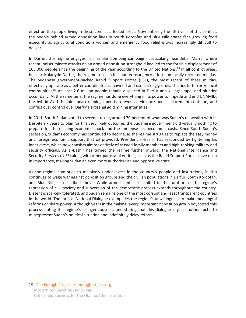effect on the people living in these conflict-affected areas. Now entering the fifth year of this conflict, the people behind armed opposition lines in South Kordofan and Blue Nile states face growing food insecurity as agricultural conditions worsen and emergency food relief grows increasingly difficult to deliver.

In Darfur, the regime engages in a similar bombing campaign, particularly near Jebel Marra, where recent indiscriminate attacks on an armed opposition stronghold had led to the forcible displacement of 105,000 people since the beginning of the year according to the United Nations.<sup>88</sup> In all conflict areas, but particularly in Darfur, the regime relies in its counterinsurgency efforts on locally recruited militias. The Sudanese government-backed Rapid Support Forces (RSF), the most recent of these militias, effectively operate as a better coordinated Janjaweed and use strikingly similar tactics to terrorize local communities.<sup>89</sup> At least 2.6 million people remain displaced in Darfur and killings, rape, and plunder occur daily. At the same time, the regime has done everything in its power to impede and end UNAMID, the hybrid AU-U.N. joint peacekeeping operation, even as violence and displacement continue, and conflict over control over Darfur's artisanal gold mining intensifies.

In 2011, South Sudan voted to secede, taking around 70 percent of what was Sudan's oil wealth with it. Despite six years to plan for this very likely outcome, the Sudanese government did virtually nothing to prepare for the ensuing economic shock and the immense socioeconomic costs. Since South Sudan's secession, Sudan's economy has continued to decline, as the regime struggles to replace the easy money and foreign economic support that oil provided. President al-Bashir has responded by tightening his inner circle, which now consists almost entirely of trusted family members and high-ranking military and security officials. As al-Bashir has turned the regime further inward, the National Intelligence and Security Services (NISS) along with other parastatal entities, such as the Rapid Support Forces have risen in importance, making Sudan an even more authoritarian and oppressive state.

As the regime continues to massively under-invest in the country's people and institutions, it also continues to wage war against opposition groups and the civilian populations in Darfur, South Kordofan, and Blue Nile, as described above. While armed conflict is limited to the rural areas, the regime's repression of civil society and subversion of the democratic process extends throughout the country. Dissent is scarcely tolerated, and Sudan remains one of the most corrupt and least transparent countries in the world. The farcical National Dialogue exemplifies the regime's unwillingness to make meaningful reforms or share power. Although years in the making, every important opposition group boycotted this process noting the regime's disingenuousness and stating that this dialogue is just another tactic to misrepresent Sudan's political situation and indefinitely delay reform.

#### 19 The Enough Project • enoughproject.org Modernized Sanctions for Sudan: Unfinished Business for the Obama Administration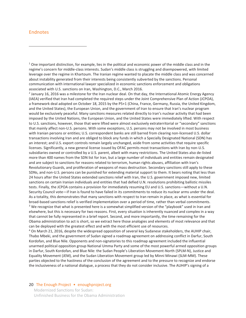#### Endnotes

 $\overline{\phantom{a}}$ 

 $1$  One important distinction, for example, lies in the political and economic power of the middle class and in the regime's concern for middle-class interests. Sudan's middle class is struggling and disempowered, with limited leverage over the regime in Khartoum. The Iranian regime wanted to placate the middle class and was concerned about instability generated from their interests being consistently subverted by the sanctions. Personal communication with international lawyer specialized in economic sanctions enforcement and obligations associated with U.S. sanctions on Iran, Washington, D.C., March 2016.

<sup>2</sup> January 16, 2016 was a milestone for the Iran nuclear deal. On that day, the International Atomic Energy Agency (IAEA) verified that Iran had completed the required steps under the Joint Comprehensive Plan of Action (JCPOA), a framework deal adopted on October 18, 2015 by the P5+1 (China, France, Germany, Russia, the United Kingdom, and the United States), the European Union, and the government of Iran to ensure that Iran's nuclear program would be exclusively peaceful. Many sanctions measures related directly to Iran's nuclear activity that had been imposed by the United Nations, the European Union, and the United States were immediately lifted. With respect to U.S. sanctions, however, those that were lifted were almost exclusively extraterritorial or "secondary" sanctions that mainly affect non-U.S. persons. With some exceptions, U.S. persons may not be involved in most business with Iranian persons or entities; U.S. correspondent banks are still barred from clearing non-licensed U.S. dollar transactions involving Iran and are obliged to block any funds in which a Specially Designated National (SDN) has an interest; and U.S. export controls remain largely unchanged, aside from some activities that require specific licenses. Significantly, a new general license issued by OFAC permits most transactions with Iran by non-U.S. subsidiaries owned or controlled by a U.S. parent, albeit with many restrictions. The United States also de-listed more than 400 names from the SDN list for Iran, but a large number of individuals and entities remain designated and are subject to sanctions for reasons related to terrorism, human rights abuses, affiliation with Iran's Revolutionary Guards, and proliferation of weapons of mass destruction. Secondary sanctions still apply to these SDNs, and non-U.S. persons can be punished for extending material support to them. It bears noting that less than 24 hours after the United States extended sanctions relief with Iran, the U.S. government imposed new, limited sanctions on certain Iranian individuals and entities that had defied U.N. resolutions prohibiting ballistic missiles tests. Finally, the JCPOA contains a provision for immediately resuming EU and U.S. sanctions—without a U.N. Security Council vote—if Iran is found to have failed in its commitments to reduce its nuclear arms under the deal. As a totality, this demonstrates that many sanctions with respect to Iran remain in place, as what is essential for broad-based sanctions relief is verified implementation over a period of time, rather than verbal commitments. 3 <sup>3</sup> We recognize that what is presented here is a somewhat simplified version of the "playbook" used in Iran and elsewhere, but this is necessary for two reasons. First, every situation is inherently nuanced and complex in a way that cannot be fully represented in a brief report. Second, and more importantly, the time remaining for the Obama administration to act is short, so we extract here those analogies and elements of most relevance and that can be deployed with the greatest effect and with the most efficient use of resources. 4

 On March 21, 2016, despite the widespread opposition of several key Sudanese stakeholders, the AUHIP chair, Thabo Mbeki, and the government of Sudan signed a roadmap agreement on addressing conflict in Darfur, South Kordofan, and Blue Nile. Opponents and non-signatories to this roadmap agreement included the influential unarmed political opposition group National Umma Party and some of the most powerful armed opposition groups in Darfur, South Kordofan, and Blue Nile: the Sudan People's Liberation Movement-North (SPLM-N), Justice and Equality Movement (JEM), and the Sudan Liberation Movement group led by Minni Minawi (SLM-MM). These parties objected to the hastiness of the conclusion of the agreement and to the pressure to recognize and endorse the inclusiveness of a national dialogue, a process that they do not consider inclusive. The AUHIP's signing of a

#### 20 The Enough Project • enoughproject.org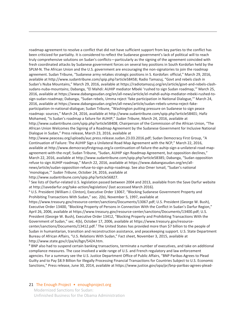roadmap agreement to resolve a conflict that did not have sufficient support from key parties to the conflict has been criticized for partiality. It is considered to reflect the Sudanese government's lack of political will to reach truly comprehensive solutions on Sudan's conflicts—particularly as the signing of the agreement coincided with fresh coordinated attacks by Sudanese government forces on several key positions in South Kordofan held by the SPLM-N. The African Union and the U.S. government are encouraging the non-signatories to join the roadmap agreement. Sudan Tribune, "Sudanese army retakes strategic positions in S. Kordofan: official," March 29, 2016, available at http://www.sudantribune.com/spip.php?article58458; Radio Tamazuj, "Govt and rebels clash in Sudan's Nuba Mountains," March 29, 2016, available at https://radiotamazuj.org/en/article/govt-and-rebels-clashsudans-nuba-mountains; Dabanga, "El Mahdi: AUHIP mediator Mbeki 'rushed to sign Sudan roadmap,'" March 25, 2016, available at https://www.dabangasudan.org/en/all-news/article/el-mahdi-auhip-mediator-mbeki-rushed-tosign-sudan-roadmap; Dabanga, "Sudan rebels, Umma reject 'fake participation in National Dialogue,'" March 24, 2016, available at https://www.dabangasudan.org/en/all-news/article/sudan-rebels-umma-reject-fakeparticipation-in-national-dialogue; Sudan Tribune, "Washington putting pressure on Sudanese to sign peace roadmap: sources," March 24, 2016, available at http://www.sudantribune.com/spip.php?article58401; Hafiz Mohamed, "Is Sudan's roadmap a failure for AUHIP," *Sudan Tribune*, March 24, 2016, available at http://www.sudantribune.com/spip.php?article58408; Chairperson of the Commission of the African Union, "The African Union Welcomes the Signing of a Roadmap Agreement by the Sudanese Government for Inclusive National Dialogue in Sudan," Press release, March 23, 2016, available at

http://www.peaceau.org/uploads/auc.press.release.sudan.23.03.2016.pdf; Sudan Democracy First Group, "A Continuation of Failure: The AUHIP Sign a Unilateral Road Map Agreement with the NCP," March 22, 2016, available at http://www.democracyfirstgroup.org/a-continuation-of-failure-the-auhip-sign-a-unilateral-road-mapagreement-with-the-ncpf; Sudan Tribune, "Sudan, AUHIP sign Roadmap Agreement, but opposition declines," March 22, 2016, available at http://www.sudantribune.com/spip.php?article58385; Dabanga, "Sudan opposition refuse to sign AUHIP roadmap," March 22, 2016, available at https://www.dabangasudan.org/en/allnews/article/sudan-opposition-refuse-to-sign-auhip-roadmap. See also Omer Ismail, "Sudan's national 'monologue,'" *Sudan Tribune*, October 24, 2016, available at http://www.sudantribune.com/spip.php?article56827.

<sup>5</sup> See lists of Darfur-related U.S. legislation passed between 2004 and 2013, available from the Save Darfur website

at http://savedarfur.org/take-action/legislation/ (last accessed March 2016). 6 U.S. President (William J. Clinton), Executive Order 13067, "Blocking Sudanese Government Property and Prohibiting Transactions With Sudan," sec. 2(b), November 5, 1997, available at

https://www.treasury.gov/resource-center/sanctions/Documents/13067.pdf; U.S. President (George W. Bush), Executive Order 13400, "Blocking Property of Persons in Connection With the Conflict in Sudan's Darfur Region," April 26, 2006, available at https://www.treasury.gov/resource-center/sanctions/Documents/13400.pdf; U.S. President (George W. Bush), Executive Order 13412, "Blocking Property and Prohibiting Transactions With the Government of Sudan," sec. 4(b), October 17, 2006, available at https://www.treasury.gov/resourcecenter/sanctions/Documents/13412.pdf.<sup>7</sup> The United States has provided more than \$7 billion to the people of Sudan in humanitarian, transition and reconstruction assistance, and peacekeeping support. U.S. State Department Bureau of African Affairs, "U.S. Relations With Sudan," Fact sheet, November 3, 2015, available at http://www.state.gov/r/pa/ei/bgn/5424.htm.

<sup>8</sup> BNP also had to suspend certain banking transactions, terminate a number of executives, and take on additional compliance measures. The case involved a wide range of U.S. and French regulatory and law enforcement agencies. For a summary see the U.S. Justice Department Office of Public Affairs, "BNP Paribas Agrees to Plead Guilty and to Pay \$8.9 Billion for Illegally Processing Financial Transactions for Countries Subject to U.S. Economic Sanctions," Press release, June 30, 2014, available at https://www.justice.gov/opa/pr/bnp-paribas-agrees-plead-

#### 21 The Enough Project • enoughproject.org

 $\overline{\phantom{a}}$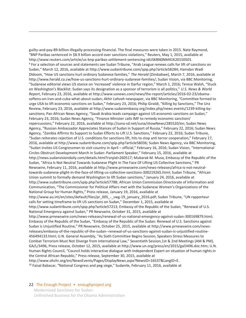guilty-and-pay-89-billion-illegally-processing-financial. The final measures were taken in 2015. Nate Raymond, "BNP Paribas sentenced in \$8.9 billion accord over sanctions violations," Reuters, May 1, 2015, available at http://www.reuters.com/article/us-bnp-paribas-settlement-sentencing-idUSKBN0NM41K20150501. 9 <sup>9</sup> For a selection of sources and statements see Sudan Tribune, "Arab League renews calls for lift of sanctions on Sudan," March 12, 2016, available at http://www.sudantribune.com/spip.php?article58284; Hamdan Wadi Dldoom, "How US sanctions hurt ordinary Sudanese families," *The Herald* [Zimbabwe], March 7, 2016, available at http://www.herald.co.zw/how-us-sanctions-hurt-ordinary-sudanese-families/; Sudan Vision, via BBC Monitoring, "Sudanese editorial views US stance on 'increased' violence in Darfur region," March 1, 2016; Teresa Walsh, "Stuck on Washington's Blacklist: Sudan says its designation as a sponsor of terrorism is all politics," *U.S. News & World Report*, February 23, 2016, available at http://www.usnews.com/news/the-report/articles/2016-02-23/obamasoftens-on-iran-and-cuba-what-about-sudan; *Akhir Lahzah* newspaper, via BBC Monitoring, "Committee formed to urge USA to lift economic sanctions on Sudan," February 23, 2016; Philip Giraldi, "Killing by Sanctions," The Unz Review, February 23, 2016, available at http://www.sudanembassy.org/index.php/news-events/1239-killing-bysanctions; Pan African News Agency, "Saudi Arabia leads campaign against US economic sanctions on Sudan," February 23, 2016; Sudan News Agency, "Finance Minister calls IMF to remedy economic sanctions' repercussions," February 22, 2016, available at http://suna-sd.net/suna/showNews/285520/en; Sudan News Agency, "Russian Ambassador Appreciates Stances of Sudan in Support of Russia," February 22, 2016; Sudan News Agency, "Zambia Affirms Its Support to Sudan Efforts to Lift U.S. Sanctions," February 22, 2016; Sudan Tribune, "Sudan reiterates rejection of U.S. conditions for sanctions lift, hits to stop anti terror cooperation," February 17, 2016, available at http://www.sudantribune.com/spip.php?article58036; Sudan News Agency, via BBC Monitoring, "Sudan invites US Congressmen to visit country in April – official," February 16, 2016; Sudan Vision, "International Circles Obstruct Development March in Sudan: Parliament Speaker," February 15, 2016, available at http://news.sudanvisiondaily.com/details.html?rsnpid=260517; Mubarak M. Musa, Embassy of the Republic of the Sudan, "Africa Is Not Neutral Towards Sudanese Plight In The Face Of Lifting US Collective Sanctions," PR Newswire, February 11, 2016, available at http://www.prnewswire.com/news-releases/africa-is-not-neutraltowards-sudanese-plight-in-the-face-of-lifting-us-collective-sanctions-300219265.html; Sudan Tribune, "African Union summit to formally demand Washington to lift Sudan sanctions," January 24, 2016, available at http://www.sudantribune.com/spip.php?article57788; African Union Commission Directorate of Information and Communication, "The Commissioner for Political Affairs met with the Sudanese Women's Organizations of the National Group for Human Rights," Press release, January 19, 2016, available at http://www.au.int/en/sites/default/files/pr\_005\_-\_swg-19\_january\_2016.pdf; Sudan Tribune, "UN rapporteur calls for setting timeframe to lift US sanctions on Sudan," December 1, 2015, available at http://www.sudantribune.com/spip.php?article57213; Embassy of the Republic of the Sudan, "Renewal of U.S. National Emergency against Sudan," PR Newswire, October 31, 2015, available at http://www.prnewswire.com/news-releases/renewal-of-us-national-emergency-against-sudan-300169879.html; Embassy of the Republic of the Sudan, "Embassy of the Republic of the Sudan: Renewal of U.S. Sanctions against Sudan is Unjustified Routine," PR Newswire, October 25, 2015, available at http://www.prnewswire.com/newsreleases/embassy-of-the-republic-of-the-sudan--renewal-of-us-sanctions-against-sudan-is-unjustified-routine-456494133.html; U.N. General Assembly, "As Sixth Committee Begins Session, Speakers Stress Measures to Combat Terrorism Must Not Diverge from International Law," Seventieth Session,1st & 2nd Meetings (AM & PM), GA/L/3496, Press release, October 12, 2015, available at http://www.un.org/press/en/2015/gal3496.doc.htm; U.N. Human Rights Council, "Council holds interactive dialogue with Independent Expert on situation of human rights in the Central African Republic," Press release, September 30, 2015, available at http://www.ohchr.org/en/NewsEvents/Pages/DisplayNews.aspx?NewsID=16537&LangID=E.<br><sup>10</sup> Faisal Babacar, "National Congress and peg siege," Sudanile, February 11, 2016, available at

#### 22 The Enough Project • enoughproject.org

 $\overline{a}$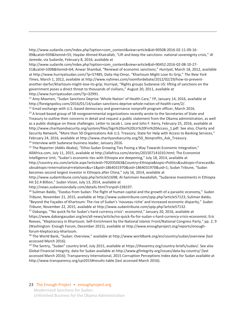http://www.sudanile.com/index.php?option=com\_content&view=article&id=90508:2016-02-11-09-16- 09&catid=939&Itemid=55; Haydar Ahmed Khairallah, "Lift and keep the sanctions: national sovereignty crisis," *Al Jareeda*, via Sudanile, February 8, 2016, available at

http://www.sudanile.com/index.php?option=com\_content&view=article&id=90452:2016-02-08-10-27- 51&catid=1008&Itemid=64; Anwar Shambal, "Renewal of economic sanctions," *Hurriyat*, March 18, 2012, available at http://www.hurriyatsudan.com/?p=57485; Dalia Haj-Omar, "Khartoum Might Lose Its Grip," *The New York Times*, March 1, 2012, available at http://www.nytimes.com/roomfordebate/2012/02/29/how-to-preventanother-darfur/khartoum-might-lose-its-grip; Hurriyat, "Rights groups Sudanese US: lifting of sanctions on the government poses a direct threat to thousands of civilians," August 20, 2011, available at

http://www.hurriyatsudan.com/?p=32991.<br><sup>11</sup> Amy Maxmen, "Sudan Sanctions Deprive 'Whole Nation' of Health Care," FP, January 14, 2016, available at http://foreignpolicy.com/2016/01/14/sudan-sanctions-deprive-whole-nation-of-health-care/2/.

<sup>12</sup> Email exchange with U.S.-based democracy and governance nonprofit program officer, March 2016.<br><sup>13</sup> A broad-based group of 58 nongovernmental organizations recently wrote to the Secretaries of State and

Treasury to outline their concerns in detail and request a public statement from the Obama administration, as well as a public dialogue on these challenges. Letter to Jacob L. Lew and John F. Kerry, February 25, 2016, available at http://www.charityandsecurity.org/system/files/Sign%20on%20Ltr%20Fin%20Access\_1.pdf. See also, Charity and Security Network, "More than 50 Organizations Ask U.S. Treasury, State for Help with Access to Banking Services," February 24, 2016, available at http://www.charityandsecurity.org/50\_Nonprofits\_Ask\_Treasury.<br><sup>14</sup> Interview with Sudanese business leader, January 2016.

<sup>15</sup> The Reporter (Addis Ababa), "Ethio-Sudan Growing Ties Paving a Way Towards Economic Integration," AllAfrica.com, July 11, 2015, available at http://allafrica.com/stories/201507141010.html; The Economist Intelligence Unit, "Sudan's economic ties with Ethiopia are deepening," July 18, 2014, available at http://country.eiu.com/article.aspx?articleid=792035063&Country=Ethiopia&topic=Politics&subtopic=Forecast&s ubsubtopic=International+relations&u=1&pid=1864031970&oid=1864031970&uid=1; Sudan Tribune, "Sudan becomes second largest investor in Ethiopia after China," July 16, 2014, available at

http://www.sudantribune.com/spip.php?article51698; Al-Sammani Awadallah, "Sudanese Investments in Ethiopia Hit \$2.4 Billion," *Sudan Vision*, July 13, 2014, available at

http://news.sudanvisiondaily.com/details.html?rsnpid=238197.

 $\overline{a}$ 

16 Suliman Baldo, "Exodus from Sudan: The flight of human capital and the growth of a parasitic economy," *Sudan Tribune*, November 21, 2015, available at http://www.sudantribune.com/spip.php?article57123; Suliman Baldo, "Beyond the Façades of Khartoum: The rise of Sudan's 'nouveau riche' and increased economic disparity," *Sudan Tribune*, November 22, 2015, available at http://www.sudantribune.com/spip.php?article57132.<br><sup>17</sup> Dabanga, "'No quick fix for Sudan's hard currency crisis': economist," January 20, 2016, available at

https://www.dabangasudan.org/en/all-news/article/no-quick-fix-for-sudan-s-hard-currency-crisis-economist; Eric Reeves, "Kleptocracy in Khartoum: Self-Enrichment by the National Islamic Front/National Congress Party," pp. 2, 9 (Washington: Enough Forum, December 2015), available at http://www.enoughproject.org/reports/enoughforum-kleptocracy-khartoum.

<sup>18</sup> The World Bank, "Sudan: Overview," available at http://www.worldbank.org/en/country/sudan/overview (last accessed March 2016).

<sup>19</sup> The Sentry, "Sudan" country brief, July 2015, available at https://thesentry.org/country-briefs/sudan/. See also Global Financial Integrity, data for Sudan available at http://www.gfintegrity.org/issues/data-by-country/ (last accessed March 2016); Transparency International, 2015 Corruption Perceptions Index data for Sudan available at http://www.transparency.org/cpi2015#results-table (last accessed March 2016).

#### 23 The Enough Project • enoughproject.org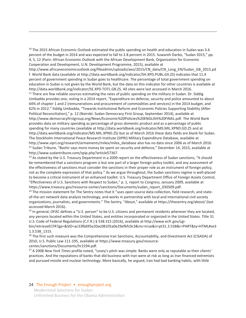<sup>20</sup> The 2015 African Economic Outlook estimated the public spending on health and education in Sudan was 3.6 percent of the budget in 2014 and was expected to fall to 2.8 percent in 2015. Suwareh Darbo, "Sudan 2015," pp. 4, 5, 12 (Paris: African Economic Outlook with the African Development Bank, Organization for Economic Cooperation and Development, U.N. Development Programme, 2015), available at

http://www.africaneconomicoutlook.org/fileadmin/uploads/aeo/2015/CN\_data/CN\_Long\_EN/Sudan\_GB\_2015.pd f. World Bank data (available at http://data.worldbank.org/indicator/SH.XPD.PUBL.GX.ZS) indicates that 11.4 percent of government spending in Sudan goes to healthcare. The percentage of total government spending on education in Sudan is not given by the World Bank, but the data on this indicator for other countries is available at http://data.worldbank.org/indicator/SE.XPD.TOTL.GB.ZS. All sites were last accessed in March 2016.<br><sup>21</sup> There are few reliable sources estimating the rates of public spending on the military in Sudan. Dr. Siddig

Umbadda provides one, noting in a 2014 report, "Expenditure on defense, security and police amounted to about 64% of chapter 1 and 2 (remunerations and procurement of commodities and services) in the 2014 budget, and 62% in 2012." Siddig Umbadda, "Towards Institutional Reform and Economic Policies Supporting Stability (After Political Reconciliation)," p. 12 (Nairobi: Sudan Democracy First Group, September 2014), available at http://www.democracyfirstgroup.org/News/Economic%20Policies%20ENGLISH%20FINAL.pdf. The World Bank provides data on military spending as percentage of gross domestic product and as a percentage of public spending for many countries (available at http://data.worldbank.org/indicator/MS.MIL.XPND.GD.ZS and at http://data.worldbank.org/indicator/MS.MIL.XPND.ZS) but as of March 2016 these data fields are blank for Sudan. The Stockholm International Peace Research Institute (SIPRI) Military Expenditure Database, available at http://www.sipri.org/research/armaments/milex/milex\_database also has no data since 2006 as of March 2016. <sup>22</sup> Sudan Tribune, "Bashir says more money be spent on security and defence," December 14, 2015, available at http://www.sudantribune.com/spip.php?article57367.

<sup>23</sup> As stated by the U.S. Treasury Department in a 2009 report on the effectiveness of Sudan sanctions, "It should be remembered that a sanctions program is but one part of a larger foreign policy toolkit, and any assessment of the effectiveness of sanctions must consider the sanctions in their proper role as an instrument of foreign policy, not as the complete expression of that policy." As we argue throughout, the Sudan sanctions regime is well-placed to become a critical instrument of an enhanced toolkit. U.S. Treasury Department Office of Foreign Assets Control, "Effectiveness of U.S. Sanctions with Respect to Sudan," p. 1, report to Congress, January 2009, available at https://www.treasury.gov/resource-center/sanctions/Documents/sudan\_report\_030509.pdf.

<sup>24</sup> The mission statement for The Sentry notes that it "uses open source data collection, field research, and stateof-the-art network data analysis technology, and works in partnership with local and international civil society organizations, journalists, and governments." The Sentry, "About," available at https://thesentry.org/about/ (last accessed March 2016).

<sup>25</sup> In general, OFAC defines a "U.S. person" to be U.S. citizens and permanent residents wherever they are located, any persons located within the United States, and entities incorporated or organized in the United States. Title 31 U.S. Code of Federal Regulations (C.F.R.) § 538.315 (2016), available at http://www.ecfr.gov/cgi-

bin/retrieveECFR?gp=&SID=ac33fb695e20ac08105a0e29efbfc0c3&mc=true&n=pt31.3.538&r=PART&ty=HTML#se3 1.3.538\_1315.

<sup>26</sup> The first such measure was the Comprehensive Iran Sanctions, Accountability, and Divestment Act (CISADA) of 2010, U.S. Public Law 111-195, available at https://www.treasury.gov/resourcecenter/sanctions/Documents/hr2194.pdf.

27 A 2008 *New York Times* profile noted, "Levey's pitch was simple: Banks were only as reputable as their clients' practices. And the reputations of banks that did business with Iran were at risk as long as Iran financed extremists and pursued missile and nuclear technology. More basically, he argued, Iran had bad banking habits, with little

#### 24 The Enough Project • enoughproject.org

 $\overline{a}$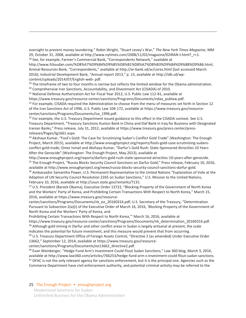oversight to prevent money laundering." Robin Wright, "Stuart Levey's War," *The New York Times Magazine*, MM 29, October 31, 2008, available at http://www.nytimes.com/2008/11/02/magazine/02IRAN-t.html? $r=1$ .<br><sup>28</sup> See, for example, Farmer's Commercial Bank, "Correspondents Network," available at

http://www.fcbsudan.com/%D8%A7%D9%84%D9%85%D8%B1%D8%A7%D8%B3%D9%84%D9%88%D9%86.html; Animal Resources Bank, "Correspondents," available at http://ar-bank.sd/ar/cores.html (last accessed March 2016); Industrial Development Bank, "Annual report 2013," p. 13, available at http://idb.sd/wpcontent/uploads/2014/07/English-web-.pdf.

<sup>29</sup> The timeframe of two to four months is narrow but reflects the limited window for the Obama administration.<br><sup>30</sup> Comprehensive Iran Sanctions, Accountability, and Divestment Act (CISADA) of 2010.<br><sup>31</sup> National Defens

 $\overline{a}$ 

https://www.treasury.gov/resource-center/sanctions/Programs/Documents/ndaa\_publaw.pdf.<br><sup>32</sup> For example, CISADA required the Administration to choose from the menu of measures set forth in Section 12 of the Iran Sanctions Act of 1996, U.S. Public Law 104-172, available at https://www.treasury.gov/resourcecenter/sanctions/Programs/Documents/isa\_1996.pdf.

<sup>33</sup> For example, the U.S. Treasury Department issued guidance to this effect in the CISADA context. See U.S. Treasury Department, "Treasury Sanctions Kunlun Bank in China and Elaf Bank in Iraq for Business with Designated Iranian Banks," Press release, July 31, 2012, available at https://www.treasury.gov/press-center/pressreleases/Pages/tg1661.aspx.

34 Akshaya Kumar, "Fool's Gold: The Case for Scrutinizing Sudan's Conflict Gold Trade" (Washington: The Enough Project, March 2015), available at http://www.enoughproject.org/reports/fools-gold-case-scrutinizing-sudansconflict-gold-trade; Omer Ismail and Akshaya Kumar, "Darfur's Gold Rush: State-Sponsored Atrocities 10 Years After the Genocide" (Washington: The Enough Project, May 2013), available at

http://www.enoughproject.org/reports/darfurs-gold-rush-state-sponsored-atrocities-10-years-after-genocide.<br><sup>35</sup> The Enough Project, "Russia Blocks Security Council Sanctions on Darfur Gold," Press release, February 10, 201 available at http://www.enoughproject.org/news/russia-blocks-security-council-sanctions-darfur-gold.<br><sup>36</sup> Ambassador Samantha Power, U.S. Permanent Representative to the United Nations "Explanation of Vote at the

Adoption of UN Security Council Resolution 2265 on Sudan Sanctions," U.S. Mission to the United Nations, February 10, 2016, available at http://usun.state.gov/remarks/7131.<br><sup>37</sup> U.S. President (Barack Obama), Executive Order 13722, "Blocking Property of the Government of North Korea

and the Workers' Party of Korea, and Prohibiting Certain Transactions With Respect to North Korea," March 15, 2016, available at https://www.treasury.gov/resource-

center/sanctions/Programs/Documents/nk\_eo\_20160316.pdf; U.S. Secretary of the Treasury, "Determination Pursuant to Subsection 2(a)(i) of the Executive Order of March 16, 2016, 'Blocking Property of the Government of North Korea and the Workers' Party of Korea, and

Prohibiting Certain Transactions With Respect to North Korea,'" March 16, 2016, available at

https://www.treasury.gov/resource-center/sanctions/Programs/Documents/nk\_determination\_20160316.pdf. 38 Although gold mining in Darfur and other conflict areas in Sudan is largely artisanal at present, the scale indicates the potential for future investment, and this measure would prevent that from occurring.<br><sup>39</sup> U.S. Treasury Department Office of Foreign Assets Control, "Directive 2 (as amended) Under Executive Order

13662," September 12, 2014, available at https://www.treasury.gov/resource-

center/sanctions/Programs/Documents/eo13662\_directive2.pdf.

40 Evan Weinberger, "Hedge Fund Arm's Investment Could Flout Sudan Sanctions," Law 360 blog, March 3, 2016, available at http://www.law360.com/articles/766253/hedge-fund-arm-s-investment-could-flout-sudan-sanctions. 41 OFAC is not the only relevant agency for sanctions enforcement, but it is the principal one. Agencies such as t Commerce Department have civil enforcement authority, and potential criminal activity may be referred to the

#### 25 The Enough Project • enoughproject.org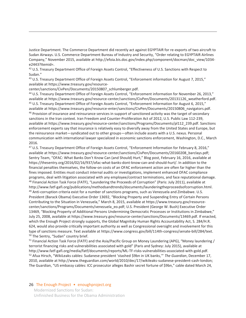Justice Department. The Commerce Department did recently act against EGYPTAIR for re-exports of two aircraft to Sudan Airways. U.S. Commerce Department Bureau of Industry and Security, "Order relating to EGYPTAIR Airlines Company," November 2015, available at http://efoia.bis.doc.gov/index.php/component/docman/doc\_view/1034 e2443?Itemid=.

42 U.S. Treasury Department Office of Foreign Assets Control, "Effectiveness of U.S. Sanctions with Respect to Sudan."

<sup>43</sup> U.S. Treasury Department Office of Foreign Assets Control, "Enforcement information for August 7, 2015," available at https://www.treasury.gov/resource-

center/sanctions/CivPen/Documents/20150807\_schlumberger.pdf.

 $\overline{a}$ 

44 U.S. Treasury Department Office of Foreign Assets Control, "Enforcement information for November 26, 2013," available at https://www.treasury.gov/resource-center/sanctions/CivPen/Documents/20131126\_weatherford.pdf. 45 U.S. Treasury Department Office of Foreign Assets Control, "Enforcement Information for August 6, 2015," available at https://www.treasury.gov/resource-enter/sanctions/CivPen/Documents/20150806\_navigators.pdf. 46 Provision of insurance and reinsurance services in support of sanctioned activity was the target of secondary sanctions in the Iran context. Iran Freedom and Counter-Proliferation Act of 2012, U.S. Public Law 112-239, available at https://www.treasury.gov/resource-center/sanctions/Programs/Documents/pl112\_239.pdf. Sanctions enforcement experts say that insurance is relatively easy to diversify away from the United States and Europe, but the reinsurance market—syndicated out to other groups—often include assets with a U.S. nexus. Personal communication with international lawyer specialized in economic sanctions enforcement, Washington, D.C., March 2016.

47 U.S. Treasury Department Office of Foreign Assets Control, "Enforcement Information for February 8, 2016," available at https://www.treasury.gov/resource-center/sanctions/CivPen/Documents/20160208\_barclays.pdf; Sentry Team, "OFAC: What Banks Don't Know Can (and Should) Hurt," Blog post, February 16, 2016, available at https://thesentry.org/2016/02/16/937/ofac-what-banks-dont-know-can-and-should-hurt/. In addition to the financial penalties themselves, the follow-on costs of an OFAC enforcement action are often far higher than the fines imposed. Entities must conduct internal audits or investigations, implement enhanced OFAC compliance programs, deal with litigation associated with any employee/contract terminations, and face reputational damage.<br><sup>48</sup> Financial Action Task Force (FATF), "Laundering the Proceeds of Corruption" (Paris: July 2011), availabl

http://www.fatf-gafi.org/publications/methodsandtrends/documents/launderingtheproceedsofcorruption.html.<br><sup>49</sup> Anti-corruption criteria exist for a number of sanctions programs, such as Venezuela and Zimbabwe. U.S. President (Barack Obama) Executive Order 13692, "Blocking Property and Suspending Entry of Certain Persons Contributing to the Situation in Venezuela," March 8, 2015, available at https://www.treasury.gov/resourcecenter/sanctions/Programs/Documents/venezuela\_eo.pdf; U.S. President (George W. Bush) Executive Order 13469, "Blocking Property of Additional Persons Undermining Democratic Processes or Institutions in Zimbabwe," July 25, 2008, available at https://www.treasury.gov/resource-center/sanctions/Documents/13469.pdf. If enacted, which the Enough Project strongly supports, the Global Magnitsky Human Rights Accountability Act, S. 284/H.R. 624, would also provide critically important authority as well as Congressional oversight and involvement for this type of sanctions measure. Text available at https://www.congress.gov/bill/114th-congress/senate-bill/284/text. 50 The Sentry, "Sudan" country brief.

 $51$  Financial Action Task Force (FATF) and the Asia/Pacific Group on Money Laundering (APG), "Money laundering / terrorist financing risks and vulnerabilities associated with gold" (Paris and Sydney: July 2015), available at http://www.fatf-gafi.org/media/fatf/documents/reports/ML-TF-risks-vulnerabilities-associated-with-gold.pdf. 52 Afua Hirsch, "WikiLeaks cables: Sudanese president 'stashed \$9bn in UK banks,'" *The Guardian*, December 17, 2010, available at http://www.theguardian.com/world/2010/dec/17/wikileaks-sudanese-president-cash-london; The Guardian, "US embassy cables: ICC prosecutor alleges Bashir secret fortune of \$9bn," cable dated March 24,

#### 26 The Enough Project • enoughproject.org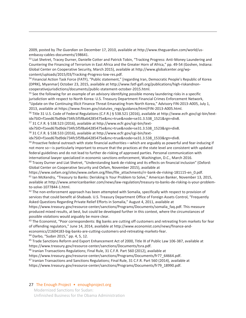2009, posted by *The Guardian* on December 17, 2010, available at http://www.theguardian.com/world/usembassy-cables-documents/198641.

53 Liat Shetret, Tracey Durner, Danielle Cotter and Patrick Tobin, "Tracking Progress: Anti-Money Laundering and Countering the Financing of Terrorism in East Africa and the Greater Horn of Africa," pp. 49-54 (Goshen, Indiana: Global Center on Cooperative Security, March 2015), available at http://www.globalcenter.org/wpcontent/uploads/2015/03/Tracking-Progress-low-res.pdf.

54 Financial Action Task Force (FATF), "Public statement," [regarding Iran, Democratic People's Republic of Korea (DPRK), Myanmar] October 23, 2015, available at http://www.fatf-gafi.org/publications/high-riskandnoncooperativejurisdictions/documents/public-statement-october-2015.html.

<sup>55</sup> See the following for an example of an advisory identifying possible money laundering risks in a specific jurisdiction with respect to North Korea: U.S. Treasury Department Financial Crimes Enforcement Network, "Update on the Continuing Illicit Finance Threat Emanating from North Korea," Advisory FIN-2013-A005, July 1, 2013, available at https://www.fincen.gov/statutes\_regs/guidance/html/FIN-2013-A005.html.

56 Title 31 U.S. Code of Federal Regulations (C.F.R.) § 538.521 (2016), available at http://www.ecfr.gov/cgi-bin/text-

idx?SID=f1eed67bd9de734fc5f5f8a64285475e&mc=true&node=se31.3.538\_1521&rgn=div8.<br><sup>57</sup> 31 C.F.R. § 538.523 (2016), available at http://www.ecfr.gov/cgi-bin/text-

idx?SID=f1eed67bd9de734fc5f5f8a64285475e&mc=true&node=se31.3.538\_1523&rgn=div8.<br><sup>58</sup> 31 C.F.R. § 538.533 (2016), available at http://www.ecfr.gov/cgi-bin/text-

idx?SID=f1eed67bd9de734fc5f5f8a64285475e&mc=true&node=se31.3.538\_1533&rgn=div8.<br><sup>59</sup> Proactive federal outreach with state financial authorities—which are arguably as powerful and fear-inducing if not more so—is particularly important to ensure that the practices at the state level are consistent with updated federal guidelines and do not lead to further de-risking of approved parties. Personal communication with international lawyer specialized in economic sanctions enforcement, Washington, D.C., March 2016.<br><sup>60</sup> Tracey Durner and Liat Shetret, "Understanding bank de-risking and its effects on financial inclusion" (Oxford:

Global Center on Cooperative Security and Oxfam, November 2015), available at

https://www.oxfam.org/sites/www.oxfam.org/files/file\_attachments/rr-bank-de-risking-181115-en\_0.pdf. <sup>61</sup> Ian McKendry, "Treasury to Banks: Derisking Is Your Problem to Solve," American Banker, November 13, 2015, available at http://www.americanbanker.com/news/law-regulation/treasury-to-banks-de-risking-is-your-problemto-solve-1077844-1.html.

 $62$  The non-enforcement approach has been attempted with Somalia, specifically with respect to provision of services that could benefit al-Shabaab. U.S. Treasury Department Office of Foreign Assets Control, "Frequently Asked Questions Regarding Private Relief Efforts in Somalia," August 4, 2011, available at

https://www.treasury.gov/resource-center/sanctions/Programs/Documents/somalia\_faq.pdf. This measure produced mixed results, at best, but could be developed further in this context, where the circumstances of possible violations would arguably be more clear.

 $63$  The Economist, "Poor correspondents: Big banks are cutting off customers and retreating from markets for fear of offending regulators," June 14, 2014, available at http://www.economist.com/news/finance-andeconomics/21604183-big-banks-are-cutting-customers-and-retreating-markets-fear.

64 Darbo, "Sudan 2015," pp. 4, 5, 12.

 $\overline{a}$ 

<sup>65</sup> Trade Sanctions Reform and Export Enhancement Act of 2000, Title IX of Public Law 106-387, available at https://www.treasury.gov/resource-center/sanctions/Documents/tsra.pdf.

<sup>66</sup> Iranian Transactions Regulations; Final Rule, 31 C.F.R. Part 560 (2012), available at

https://www.treasury.gov/resource-center/sanctions/Programs/Documents/fr77\_64664.pdf.

<sup>67</sup> Iranian Transactions and Sanctions Regulations; Final Rule, 31 C.F.R. Part 560 (2014), available at

https://www.treasury.gov/resource-center/sanctions/Programs/Documents/fr79\_18990.pdf.

#### 27 The Enough Project • enoughproject.org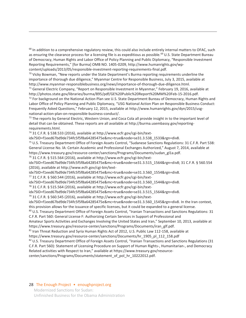$68$  In addition to a comprehensive regulatory review, this could also include entirely internal matters to OFAC, such as ensuring the clearance process for a licensing file is as expeditious as possible.<sup>69</sup> U.S. State Department Bureau of Democracy, Human Rights and Labor Office of Policy Planning and Public Diplomacy, "Responsible Investment Reporting Requirements," [for Burma] OMB NO. 1405-0209, http://www.humanrights.gov/wpcontent/uploads/2013/05/responsible-investment-reporting-requirements-final.pdf.

 $70$  Vicky Bowman, "New reports under the State Department's Burma reporting requirements underline the importance of thorough due diligence," Myanmar Centre for Responsible Business, July 3, 2015, available at http://www.myanmar-responsiblebusiness.org/news/importance-of-thorough-due-diligence.html.<br><sup>71</sup> General Electric Company, "Report on Responsible Investment in Myanmar," February 19, 2016, available at

http://photos.state.gov/libraries/burma/895/pdf/GE%20Public%20Report%20MM%20Feb-15-2016.pdf.<br><sup>72</sup> For background on the National Action Plan see U.S. State Department Bureau of Democracy, Human Rights and

Labor Office of Policy Planning and Public Diplomacy, "USG National Action Plan on Responsible Business Conduct: Frequently Asked Questions," February 12, 2015, available at http://www.humanrights.gov/dyn/2015/usgnational-action-plan-on-responsible-business-conduct/.<br><sup>73</sup> The reports by General Electric, Western Union, and Coca Cola all provide insight in to the important level of

detail that can be obtained. These reports are all available at http://burma.usembassy.gov/reportingrequirements.html.

74 31 C.F.R. § 538.533 (2016), available at http://www.ecfr.gov/cgi-bin/text-

 $\overline{a}$ 

idx?SID=f1eed67bd9de734fc5f5f8a64285475e&mc=true&node=se31.3.538\_1533&rgn=div8.<br><sup>75</sup> U.S. Treasury Department Office of Foreign Assets Control, "Sudanese Sanctions Regulations: 31 C.F.R. Part 538:

General License No. lA: Certain Academic and Professional Exchanges Authorized," August 7, 2014, available at https://www.treasury.gov/resource-center/sanctions/Programs/Documents/sudan\_gl1a.pdf.<br><sup>76</sup> 31 C.F.R. § 515.564 (2016), available at http://www.ecfr.gov/cgi-bin/text-

idx?SID=f1eed67bd9de734fc5f5f8a64285475e&mc=true&node=se31.3.515\_1564&rgn=div8; 31 C.F.R. § 560.554 (2016), available at http://www.ecfr.gov/cgi-bin/text-

idx?SID=f1eed67bd9de734fc5f5f8a64285475e&mc=true&node=se31.3.560\_1554&rgn=div8. 77 31 C.F.R. § 560.544 (2016), available at http://www.ecfr.gov/cgi-bin/text-

idx?SID=f1eed67bd9de734fc5f5f8a64285475e&mc=true&node=se31.3.560\_1544&rgn=div8.<br><sup>78</sup> 31 C.F.R. § 515.564 (2016), available at http://www.ecfr.gov/cgi-bin/text-

idx?SID=f1eed67bd9de734fc5f5f8a64285475e&mc=true&node=se31.3.515\_1564&rgn=div8.<br><sup>79</sup> 31 C.F.R. § 560.545 (2016), available at http://www.ecfr.gov/cgi-bin/text-

idx?SID=f1eed67bd9de734fc5f5f8a64285475e&mc=true&node=se31.3.560\_1545&rgn=div8. In the Iran context,

this provision allows for the issuance of specific licenses, but it could be expanded to a general license.<br><sup>80</sup> U.S. Treasury Department Office of Foreign Assets Control, "Iranian Transactions and Sanctions Regulations: 3 C.F.R. Part 560: General License F: Authorizing Certain Services in Support of Professional and

Amateur Sports Activities and Exchanges Involving the United States and Iran," September 10, 2013, available at https://www.treasury.gov/resource-center/sanctions/Programs/Documents/iran\_glf.pdf.

<sup>81</sup> Iran Threat Reduction and Syria Human Rights Act of 2012, U.S. Public Law 112-158, available at

https://www.treasury.gov/resource-center/sanctions/Documents/hr\_1905\_pl\_112\_158.pdf<br><sup>82</sup> U.S. Treasury Department Office of Foreign Assets Control, "Iranian Transactions and Sanctions Regulations (31 C.F.R. Part 560): Statement of Licensing Procedure on Support of Human Rights-, Humanitarian-, and Democracy Related activities with Respect to Iran," available at https://www.treasury.gov/resourcecenter/sanctions/Programs/Documents/statement\_of\_pol\_hr\_10222012.pdf.

#### 28 The Enough Project • enoughproject.org